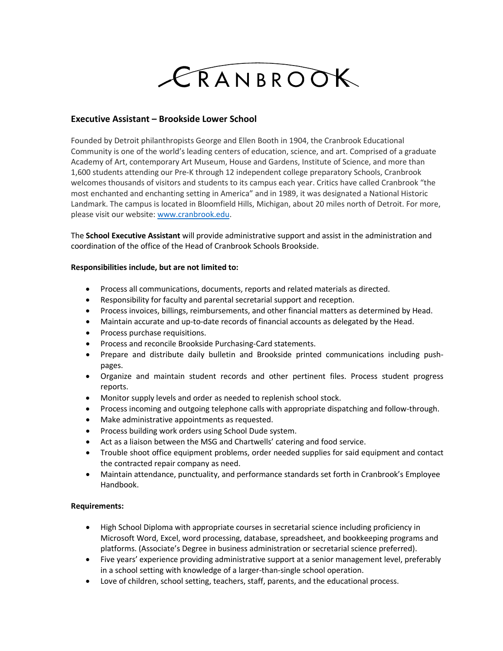

## **Executive Assistant – Brookside Lower School**

Founded by Detroit philanthropists George and Ellen Booth in 1904, the Cranbrook Educational Community is one of the world's leading centers of education, science, and art. Comprised of a graduate Academy of Art, contemporary Art Museum, House and Gardens, Institute of Science, and more than 1,600 students attending our Pre-K through 12 independent college preparatory Schools, Cranbrook welcomes thousands of visitors and students to its campus each year. Critics have called Cranbrook "the most enchanted and enchanting setting in America" and in 1989, it was designated a National Historic Landmark. The campus is located in Bloomfield Hills, Michigan, about 20 miles north of Detroit. For more, please visit our website[: www.cranbrook.edu.](http://www.cranbrook.edu/)

The **School Executive Assistant** will provide administrative support and assist in the administration and coordination of the office of the Head of Cranbrook Schools Brookside.

## **Responsibilities include, but are not limited to:**

- Process all communications, documents, reports and related materials as directed.
- Responsibility for faculty and parental secretarial support and reception.
- Process invoices, billings, reimbursements, and other financial matters as determined by Head.
- Maintain accurate and up-to-date records of financial accounts as delegated by the Head.
- Process purchase requisitions.
- Process and reconcile Brookside Purchasing-Card statements.
- Prepare and distribute daily bulletin and Brookside printed communications including pushpages.
- Organize and maintain student records and other pertinent files. Process student progress reports.
- Monitor supply levels and order as needed to replenish school stock.
- Process incoming and outgoing telephone calls with appropriate dispatching and follow-through.
- Make administrative appointments as requested.
- Process building work orders using School Dude system.
- Act as a liaison between the MSG and Chartwells' catering and food service.
- Trouble shoot office equipment problems, order needed supplies for said equipment and contact the contracted repair company as need.
- Maintain attendance, punctuality, and performance standards set forth in Cranbrook's Employee Handbook.

## **Requirements:**

- High School Diploma with appropriate courses in secretarial science including proficiency in Microsoft Word, Excel, word processing, database, spreadsheet, and bookkeeping programs and platforms. (Associate's Degree in business administration or secretarial science preferred).
- Five years' experience providing administrative support at a senior management level, preferably in a school setting with knowledge of a larger-than-single school operation.
- Love of children, school setting, teachers, staff, parents, and the educational process.